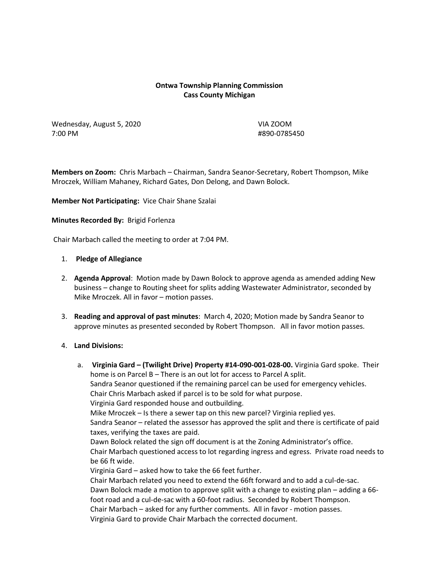### **Ontwa Township Planning Commission Cass County Michigan**

Wednesday, August 5, 2020 VIA ZOOM 7:00 PM #890-0785450

**Members on Zoom:** Chris Marbach – Chairman, Sandra Seanor-Secretary, Robert Thompson, Mike Mroczek, William Mahaney, Richard Gates, Don Delong, and Dawn Bolock.

**Member Not Participating:** Vice Chair Shane Szalai

**Minutes Recorded By:** Brigid Forlenza

Chair Marbach called the meeting to order at 7:04 PM.

#### 1. **Pledge of Allegiance**

- 2. **Agenda Approval**: Motion made by Dawn Bolock to approve agenda as amended adding New business – change to Routing sheet for splits adding Wastewater Administrator, seconded by Mike Mroczek. All in favor – motion passes.
- 3. **Reading and approval of past minutes**: March 4, 2020; Motion made by Sandra Seanor to approve minutes as presented seconded by Robert Thompson. All in favor motion passes.

### 4. **Land Divisions:**

a. **Virginia Gard – (Twilight Drive) Property #14-090-001-028-00.** Virginia Gard spoke. Their home is on Parcel B – There is an out lot for access to Parcel A split. Sandra Seanor questioned if the remaining parcel can be used for emergency vehicles. Chair Chris Marbach asked if parcel is to be sold for what purpose. Virginia Gard responded house and outbuilding. Mike Mroczek – Is there a sewer tap on this new parcel? Virginia replied yes. Sandra Seanor – related the assessor has approved the split and there is certificate of paid taxes, verifying the taxes are paid. Dawn Bolock related the sign off document is at the Zoning Administrator's office. Chair Marbach questioned access to lot regarding ingress and egress. Private road needs to be 66 ft wide. Virginia Gard – asked how to take the 66 feet further. Chair Marbach related you need to extend the 66ft forward and to add a cul-de-sac. Dawn Bolock made a motion to approve split with a change to existing plan – adding a 66 foot road and a cul-de-sac with a 60-foot radius. Seconded by Robert Thompson. Chair Marbach – asked for any further comments. All in favor - motion passes. Virginia Gard to provide Chair Marbach the corrected document.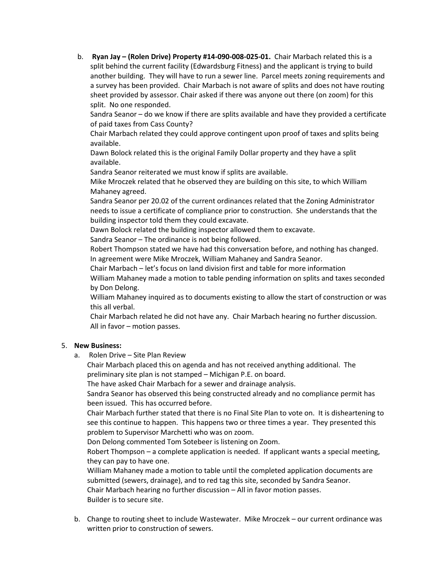b. **Ryan Jay – (Rolen Drive) Property #14-090-008-025-01.** Chair Marbach related this is a split behind the current facility (Edwardsburg Fitness) and the applicant is trying to build another building. They will have to run a sewer line. Parcel meets zoning requirements and a survey has been provided. Chair Marbach is not aware of splits and does not have routing sheet provided by assessor. Chair asked if there was anyone out there (on zoom) for this split. No one responded.

Sandra Seanor – do we know if there are splits available and have they provided a certificate of paid taxes from Cass County?

Chair Marbach related they could approve contingent upon proof of taxes and splits being available.

Dawn Bolock related this is the original Family Dollar property and they have a split available.

Sandra Seanor reiterated we must know if splits are available.

Mike Mroczek related that he observed they are building on this site, to which William Mahaney agreed.

Sandra Seanor per 20.02 of the current ordinances related that the Zoning Administrator needs to issue a certificate of compliance prior to construction. She understands that the building inspector told them they could excavate.

Dawn Bolock related the building inspector allowed them to excavate.

Sandra Seanor – The ordinance is not being followed.

Robert Thompson stated we have had this conversation before, and nothing has changed. In agreement were Mike Mroczek, William Mahaney and Sandra Seanor.

Chair Marbach – let's focus on land division first and table for more information

William Mahaney made a motion to table pending information on splits and taxes seconded by Don Delong.

William Mahaney inquired as to documents existing to allow the start of construction or was this all verbal.

Chair Marbach related he did not have any. Chair Marbach hearing no further discussion. All in favor – motion passes.

# 5. **New Business:**

a. Rolen Drive – Site Plan Review

Chair Marbach placed this on agenda and has not received anything additional. The preliminary site plan is not stamped – Michigan P.E. on board.

The have asked Chair Marbach for a sewer and drainage analysis.

Sandra Seanor has observed this being constructed already and no compliance permit has been issued. This has occurred before.

Chair Marbach further stated that there is no Final Site Plan to vote on. It is disheartening to see this continue to happen. This happens two or three times a year. They presented this problem to Supervisor Marchetti who was on zoom.

Don Delong commented Tom Sotebeer is listening on Zoom.

Robert Thompson – a complete application is needed. If applicant wants a special meeting, they can pay to have one.

William Mahaney made a motion to table until the completed application documents are submitted (sewers, drainage), and to red tag this site, seconded by Sandra Seanor. Chair Marbach hearing no further discussion – All in favor motion passes.

Builder is to secure site.

b. Change to routing sheet to include Wastewater. Mike Mroczek – our current ordinance was written prior to construction of sewers.